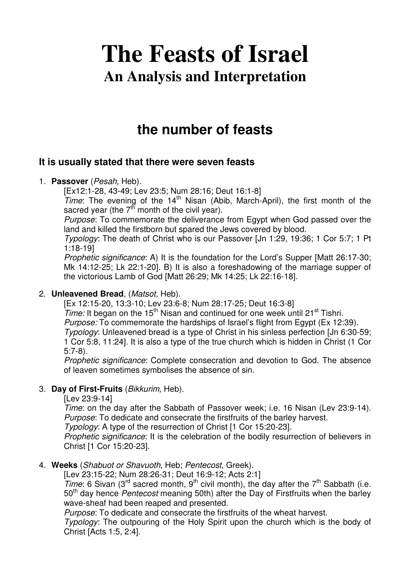# **The Feasts of Israel An Analysis and Interpretation**

# **the number of feasts**

# **It is usually stated that there were seven feasts**

#### 1. **Passover** (Pesah, Heb).

[Ex12:1-28, 43-49; Lev 23:5; Num 28:16; Deut 16:1-8]

 $Time:$  The evening of the  $14<sup>th</sup>$  Nisan (Abib, March-April), the first month of the sacred year (the  $7<sup>th</sup>$  month of the civil year).

Purpose: To commemorate the deliverance from Egypt when God passed over the land and killed the firstborn but spared the Jews covered by blood.

Typology: The death of Christ who is our Passover [Jn 1:29, 19:36; 1 Cor 5:7; 1 Pt 1:18-19]

Prophetic significance: A) It is the foundation for the Lord's Supper [Matt 26:17-30; Mk 14:12-25; Lk 22:1-20]. B) It is also a foreshadowing of the marriage supper of the victorious Lamb of God [Matt 26:29; Mk 14:25; Lk 22:16-18].

#### 2. **Unleavened Bread**, (Matsot, Heb).

[Ex 12:15-20, 13:3-10; Lev 23:6-8; Num 28:17-25; Deut 16:3-8] Time: It began on the  $15<sup>th</sup>$  Nisan and continued for one week until 21<sup>st</sup> Tishri. Purpose: To commemorate the hardships of Israel's flight from Egypt (Ex 12:39). Typology: Unleavened bread is a type of Christ in his sinless perfection [Jn 6:30-59; 1 Cor 5:8, 11:24]. It is also a type of the true church which is hidden in Christ (1 Cor 5:7-8).

Prophetic significance: Complete consecration and devotion to God. The absence of leaven sometimes symbolises the absence of sin.

#### 3. **Day of First-Fruits** (Bikkurim, Heb).

[Lev 23:9-14]

Time: on the day after the Sabbath of Passover week; i.e. 16 Nisan (Lev 23:9-14). Purpose: To dedicate and consecrate the firstfruits of the barley harvest.

Typology: A type of the resurrection of Christ [1 Cor 15:20-23].

Prophetic significance: It is the celebration of the bodily resurrection of believers in Christ [1 Cor 15:20-23].

#### 4. **Weeks** (Shabuot or Shavuoth, Heb; Pentecost, Greek).

[Lev 23:15-22; Num 28:26-31; Deut 16:9-12; Acts 2:1]

Time: 6 Sivan (3<sup>rd</sup> sacred month, 9<sup>th</sup> civil month), the day after the 7<sup>th</sup> Sabbath (i.e. 50<sup>th</sup> day hence *Pentecost* meaning 50th) after the Day of Firstfruits when the barley wave-sheaf had been reaped and presented.

Purpose: To dedicate and consecrate the firstfruits of the wheat harvest.

Typology: The outpouring of the Holy Spirit upon the church which is the body of Christ [Acts 1:5, 2:4].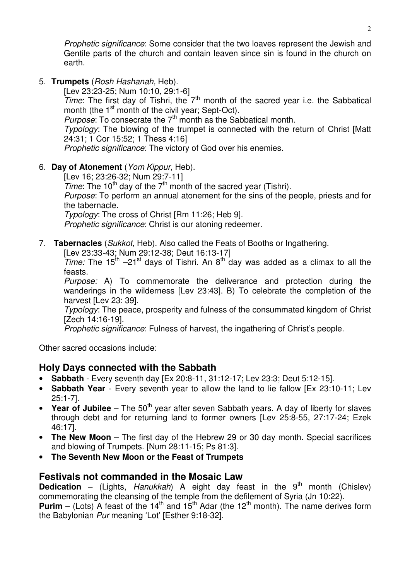Prophetic significance: Some consider that the two loaves represent the Jewish and Gentile parts of the church and contain leaven since sin is found in the church on earth.

5. **Trumpets** (Rosh Hashanah, Heb).

[Lev 23:23-25; Num 10:10, 29:1-6] Time: The first day of Tishri, the  $7<sup>th</sup>$  month of the sacred year i.e. the Sabbatical month (the 1<sup>st</sup> month of the civil year; Sept-Oct). *Purpose*: To consecrate the  $7<sup>th</sup>$  month as the Sabbatical month. Typology: The blowing of the trumpet is connected with the return of Christ [Matt 24:31; 1 Cor 15:52; 1 Thess 4:16]

Prophetic significance: The victory of God over his enemies.

#### 6. **Day of Atonement** (Yom Kippur, Heb).

[Lev 16; 23:26-32; Num 29:7-11] Time: The 10<sup>th</sup> day of the  $7<sup>th</sup>$  month of the sacred year (Tishri). Purpose: To perform an annual atonement for the sins of the people, priests and for the tabernacle. Typology: The cross of Christ [Rm 11:26; Heb 9]. Prophetic significance: Christ is our atoning redeemer.

7. **Tabernacles** (Sukkot, Heb). Also called the Feats of Booths or Ingathering.

[Lev 23:33-43; Num 29:12-38; Deut 16:13-17]

Time: The 15<sup>th</sup> –21<sup>st</sup> days of Tishri. An 8<sup>th</sup> day was added as a climax to all the feasts.

Purpose: A) To commemorate the deliverance and protection during the wanderings in the wilderness [Lev 23:43]. B) To celebrate the completion of the harvest [Lev 23: 39].

Typology: The peace, prosperity and fulness of the consummated kingdom of Christ [Zech 14:16-19].

Prophetic significance: Fulness of harvest, the ingathering of Christ's people.

Other sacred occasions include:

# **Holy Days connected with the Sabbath**

- **Sabbath**  Every seventh day [Ex 20:8-11, 31:12-17; Lev 23:3; Deut 5:12-15].
- **Sabbath Year**  Every seventh year to allow the land to lie fallow [Ex 23:10-11; Lev 25:1-7].
- Year of Jubilee The  $50<sup>th</sup>$  year after seven Sabbath years. A day of liberty for slaves through debt and for returning land to former owners [Lev 25:8-55, 27:17-24; Ezek 46:17].
- **The New Moon** The first day of the Hebrew 29 or 30 day month. Special sacrifices and blowing of Trumpets. [Num 28:11-15; Ps 81:3].
- **The Seventh New Moon or the Feast of Trumpets**

# **Festivals not commanded in the Mosaic Law**

**Dedication** – (Lights, Hanukkah) A eight day feast in the 9<sup>th</sup> month (Chislev) commemorating the cleansing of the temple from the defilement of Syria (Jn 10:22). **Purim** – (Lots) A feast of the 14<sup>th</sup> and 15<sup>th</sup> Adar (the 12<sup>th</sup> month). The name derives form

the Babylonian Pur meaning 'Lot' [Esther 9:18-32].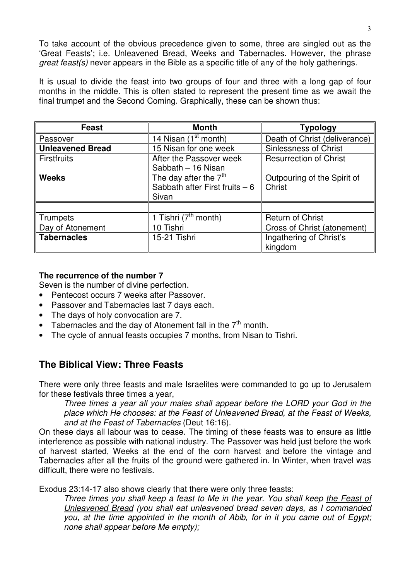To take account of the obvious precedence given to some, three are singled out as the 'Great Feasts'; i.e. Unleavened Bread, Weeks and Tabernacles. However, the phrase great feast(s) never appears in the Bible as a specific title of any of the holy gatherings.

It is usual to divide the feast into two groups of four and three with a long gap of four months in the middle. This is often stated to represent the present time as we await the final trumpet and the Second Coming. Graphically, these can be shown thus:

| <b>Feast</b>            | <b>Month</b>                     | <b>Typology</b>               |
|-------------------------|----------------------------------|-------------------------------|
| Passover                | 14 Nisan (1 <sup>st</sup> month) | Death of Christ (deliverance) |
| <b>Unleavened Bread</b> | 15 Nisan for one week            | <b>Sinlessness of Christ</b>  |
| <b>Firstfruits</b>      | After the Passover week          | <b>Resurrection of Christ</b> |
|                         | Sabbath - 16 Nisan               |                               |
| <b>Weeks</b>            | The day after the $7th$          | Outpouring of the Spirit of   |
|                         | Sabbath after First fruits $-6$  | Christ                        |
|                         | Sivan                            |                               |
|                         |                                  |                               |
| <b>Trumpets</b>         | 1 Tishri $(7th$ month)           | <b>Return of Christ</b>       |
| Day of Atonement        | 10 Tishri                        | Cross of Christ (atonement)   |
| <b>Tabernacles</b>      | 15-21 Tishri                     | Ingathering of Christ's       |
|                         |                                  | kingdom                       |

#### **The recurrence of the number 7**

Seven is the number of divine perfection.

- Pentecost occurs 7 weeks after Passover.
- Passover and Tabernacles last 7 days each.
- The days of holy convocation are 7.
- Tabernacles and the day of Atonement fall in the  $7<sup>th</sup>$  month.
- The cycle of annual feasts occupies 7 months, from Nisan to Tishri.

# **The Biblical View: Three Feasts**

There were only three feasts and male Israelites were commanded to go up to Jerusalem for these festivals three times a year,

Three times a year all your males shall appear before the LORD your God in the place which He chooses: at the Feast of Unleavened Bread, at the Feast of Weeks, and at the Feast of Tabernacles (Deut 16:16).

On these days all labour was to cease. The timing of these feasts was to ensure as little interference as possible with national industry. The Passover was held just before the work of harvest started, Weeks at the end of the corn harvest and before the vintage and Tabernacles after all the fruits of the ground were gathered in. In Winter, when travel was difficult, there were no festivals.

Exodus 23:14-17 also shows clearly that there were only three feasts:

Three times you shall keep a feast to Me in the year. You shall keep the Feast of Unleavened Bread (you shall eat unleavened bread seven days, as I commanded you, at the time appointed in the month of Abib, for in it you came out of Egypt; none shall appear before Me empty);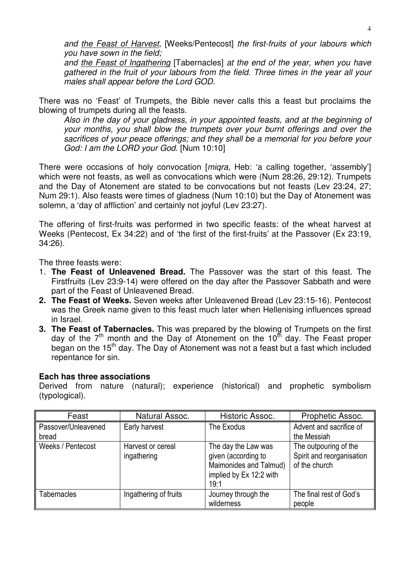and the Feast of Harvest, [Weeks/Pentecost] the first-fruits of your labours which you have sown in the field;

and the Feast of Ingathering [Tabernacles] at the end of the year, when you have gathered in the fruit of your labours from the field. Three times in the year all your males shall appear before the Lord GOD.

There was no 'Feast' of Trumpets, the Bible never calls this a feast but proclaims the blowing of trumpets during all the feasts.

Also in the day of your gladness, in your appointed feasts, and at the beginning of your months, you shall blow the trumpets over your burnt offerings and over the sacrifices of your peace offerings; and they shall be a memorial for you before your God: I am the LORD your God. [Num 10:10]

There were occasions of holy convocation [*miqra*, Heb: 'a calling together, 'assembly'] which were not feasts, as well as convocations which were (Num 28:26, 29:12). Trumpets and the Day of Atonement are stated to be convocations but not feasts (Lev 23:24, 27; Num 29:1). Also feasts were times of gladness (Num 10:10) but the Day of Atonement was solemn, a 'day of affliction' and certainly not joyful (Lev 23:27).

The offering of first-fruits was performed in two specific feasts: of the wheat harvest at Weeks (Pentecost, Ex 34:22) and of 'the first of the first-fruits' at the Passover (Ex 23:19, 34:26).

The three feasts were:

- 1. **The Feast of Unleavened Bread.** The Passover was the start of this feast. The Firstfruits (Lev 23:9-14) were offered on the day after the Passover Sabbath and were part of the Feast of Unleavened Bread.
- **2. The Feast of Weeks.** Seven weeks after Unleavened Bread (Lev 23:15-16). Pentecost was the Greek name given to this feast much later when Hellenising influences spread in Israel.
- **3. The Feast of Tabernacles.** This was prepared by the blowing of Trumpets on the first day of the  $7<sup>th</sup>$  month and the Day of Atonement on the 10<sup>th</sup> day. The Feast proper began on the 15<sup>th</sup> day. The Day of Atonement was not a feast but a fast which included repentance for sin.

#### **Each has three associations**

Derived from nature (natural); experience (historical) and prophetic symbolism (typological).

| Feast                        | Natural Assoc.                   | Historic Assoc.                                                                                         | Prophetic Assoc.                                                    |
|------------------------------|----------------------------------|---------------------------------------------------------------------------------------------------------|---------------------------------------------------------------------|
| Passover/Unleavened<br>bread | Early harvest                    | The Exodus                                                                                              | Advent and sacrifice of<br>the Messiah                              |
| Weeks / Pentecost            | Harvest or cereal<br>ingathering | The day the Law was<br>given (according to<br>Maimonides and Talmud)<br>implied by Ex 12:2 with<br>19:1 | The outpouring of the<br>Spirit and reorganisation<br>of the church |
| Tabernacles                  | Ingathering of fruits            | Journey through the<br>wilderness                                                                       | The final rest of God's<br>people                                   |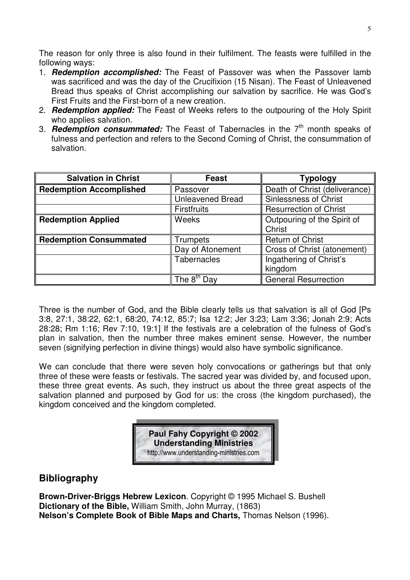The reason for only three is also found in their fulfilment. The feasts were fulfilled in the following ways:

- 1. **Redemption accomplished:** The Feast of Passover was when the Passover lamb was sacrificed and was the day of the Crucifixion (15 Nisan). The Feast of Unleavened Bread thus speaks of Christ accomplishing our salvation by sacrifice. He was God's First Fruits and the First-born of a new creation.
- 2. **Redemption applied:** The Feast of Weeks refers to the outpouring of the Holy Spirit who applies salvation.
- 3. **Redemption consummated:** The Feast of Tabernacles in the 7<sup>th</sup> month speaks of fulness and perfection and refers to the Second Coming of Christ, the consummation of salvation.

| <b>Salvation in Christ</b>     | <b>Feast</b>            | Typology                              |
|--------------------------------|-------------------------|---------------------------------------|
| <b>Redemption Accomplished</b> | Passover                | Death of Christ (deliverance)         |
|                                | <b>Unleavened Bread</b> | <b>Sinlessness of Christ</b>          |
|                                | <b>Firstfruits</b>      | <b>Resurrection of Christ</b>         |
| <b>Redemption Applied</b>      | Weeks                   | Outpouring of the Spirit of<br>Christ |
| <b>Redemption Consummated</b>  | <b>Trumpets</b>         | <b>Return of Christ</b>               |
|                                | Day of Atonement        | Cross of Christ (atonement)           |
|                                | <b>Tabernacles</b>      | Ingathering of Christ's<br>kingdom    |
|                                | The 8 <sup>th</sup> Dav | <b>General Resurrection</b>           |

Three is the number of God, and the Bible clearly tells us that salvation is all of God [Ps 3:8, 27:1, 38:22, 62:1, 68:20, 74:12, 85:7; Isa 12:2; Jer 3:23; Lam 3:36; Jonah 2:9; Acts 28:28; Rm 1:16; Rev 7:10, 19:1] If the festivals are a celebration of the fulness of God's plan in salvation, then the number three makes eminent sense. However, the number seven (signifying perfection in divine things) would also have symbolic significance.

We can conclude that there were seven holy convocations or gatherings but that only three of these were feasts or festivals. The sacred year was divided by, and focused upon, these three great events. As such, they instruct us about the three great aspects of the salvation planned and purposed by God for us: the cross (the kingdom purchased), the kingdom conceived and the kingdom completed.

> **Paul Fahy Copyright © 2002 Understanding Ministries**  http://www.understanding-ministries.com

# **Bibliography**

**Brown-Driver-Briggs Hebrew Lexicon**. Copyright © 1995 Michael S. Bushell **Dictionary of the Bible,** William Smith, John Murray, (1863) **Nelson's Complete Book of Bible Maps and Charts,** Thomas Nelson (1996).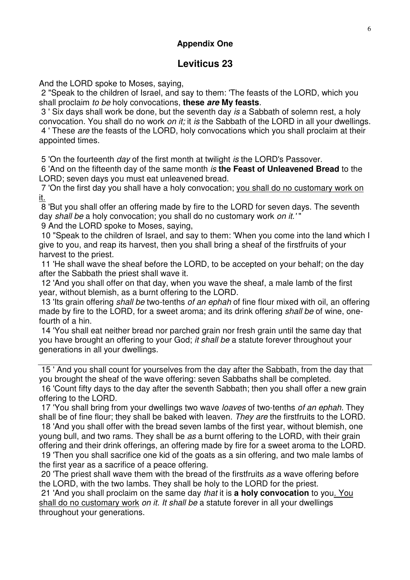# **Appendix One**

# **Leviticus 23**

And the LORD spoke to Moses, saying,

 2 "Speak to the children of Israel, and say to them: 'The feasts of the LORD, which you shall proclaim to be holy convocations, **these are My feasts**.

 3 ' Six days shall work be done, but the seventh day is a Sabbath of solemn rest, a holy convocation. You shall do no work on it; it is the Sabbath of the LORD in all your dwellings. 4 ' These are the feasts of the LORD, holy convocations which you shall proclaim at their appointed times.

5 'On the fourteenth *day* of the first month at twilight *is* the LORD's Passover.

 6 'And on the fifteenth day of the same month is **the Feast of Unleavened Bread** to the LORD; seven days you must eat unleavened bread.

 7 'On the first day you shall have a holy convocation; you shall do no customary work on it.

 8 'But you shall offer an offering made by fire to the LORD for seven days. The seventh day shall be a holy convocation; you shall do no customary work on it.'"

9 And the LORD spoke to Moses, saying,

 10 "Speak to the children of Israel, and say to them: 'When you come into the land which I give to you, and reap its harvest, then you shall bring a sheaf of the firstfruits of your harvest to the priest.

 11 'He shall wave the sheaf before the LORD, to be accepted on your behalf; on the day after the Sabbath the priest shall wave it.

 12 'And you shall offer on that day, when you wave the sheaf, a male lamb of the first year, without blemish, as a burnt offering to the LORD.

13 'Its grain offering shall be two-tenths of an ephah of fine flour mixed with oil, an offering made by fire to the LORD, for a sweet aroma; and its drink offering shall be of wine, onefourth of a hin.

 14 'You shall eat neither bread nor parched grain nor fresh grain until the same day that you have brought an offering to your God; it shall be a statute forever throughout your generations in all your dwellings.

 15 ' And you shall count for yourselves from the day after the Sabbath, from the day that you brought the sheaf of the wave offering: seven Sabbaths shall be completed.

 16 'Count fifty days to the day after the seventh Sabbath; then you shall offer a new grain offering to the LORD.

17 'You shall bring from your dwellings two wave *loaves* of two-tenths of an ephah. They shall be of fine flour; they shall be baked with leaven. They are the firstfruits to the LORD.

 18 'And you shall offer with the bread seven lambs of the first year, without blemish, one young bull, and two rams. They shall be as a burnt offering to the LORD, with their grain offering and their drink offerings, an offering made by fire for a sweet aroma to the LORD.

 19 'Then you shall sacrifice one kid of the goats as a sin offering, and two male lambs of the first year as a sacrifice of a peace offering.

 20 'The priest shall wave them with the bread of the firstfruits as a wave offering before the LORD, with the two lambs. They shall be holy to the LORD for the priest.

 21 'And you shall proclaim on the same day that it is **a holy convocation** to you. You shall do no customary work on it. It shall be a statute forever in all your dwellings throughout your generations.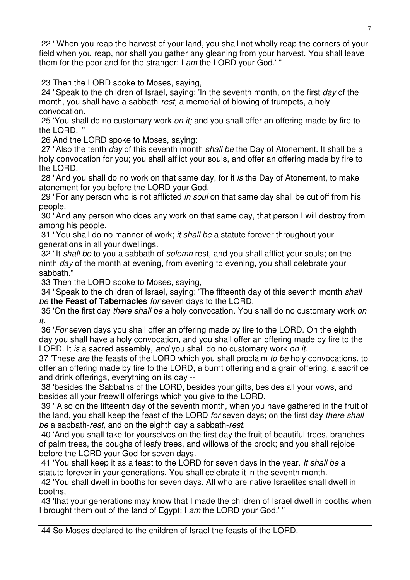22 ' When you reap the harvest of your land, you shall not wholly reap the corners of your field when you reap, nor shall you gather any gleaning from your harvest. You shall leave them for the poor and for the stranger: I am the LORD your God.' "

23 Then the LORD spoke to Moses, saying,

24 "Speak to the children of Israel, saying: 'In the seventh month, on the first day of the month, you shall have a sabbath-rest, a memorial of blowing of trumpets, a holy convocation.

25 'You shall do no customary work on it; and you shall offer an offering made by fire to the LORD.' "

26 And the LORD spoke to Moses, saying:

27 "Also the tenth day of this seventh month shall be the Day of Atonement. It shall be a holy convocation for you; you shall afflict your souls, and offer an offering made by fire to the LORD.

 28 "And you shall do no work on that same day, for it is the Day of Atonement, to make atonement for you before the LORD your God.

 29 "For any person who is not afflicted in soul on that same day shall be cut off from his people.

 30 "And any person who does any work on that same day, that person I will destroy from among his people.

 31 "You shall do no manner of work; it shall be a statute forever throughout your generations in all your dwellings.

32 "It shall be to you a sabbath of solemn rest, and you shall afflict your souls; on the ninth day of the month at evening, from evening to evening, you shall celebrate your sabbath."

33 Then the LORD spoke to Moses, saying,

34 "Speak to the children of Israel, saying: 'The fifteenth day of this seventh month shall be **the Feast of Tabernacles** for seven days to the LORD.

35 'On the first day *there shall be a holy convocation.* You shall do no customary work on it.

 36 'For seven days you shall offer an offering made by fire to the LORD. On the eighth day you shall have a holy convocation, and you shall offer an offering made by fire to the LORD. It is a sacred assembly, and you shall do no customary work on it.

37 These are the feasts of the LORD which you shall proclaim to be holy convocations, to offer an offering made by fire to the LORD, a burnt offering and a grain offering, a sacrifice and drink offerings, everything on its day --

 38 'besides the Sabbaths of the LORD, besides your gifts, besides all your vows, and besides all your freewill offerings which you give to the LORD.

 39 ' Also on the fifteenth day of the seventh month, when you have gathered in the fruit of the land, you shall keep the feast of the LORD for seven days; on the first day there shall be a sabbath-rest, and on the eighth day a sabbath-rest.

 40 'And you shall take for yourselves on the first day the fruit of beautiful trees, branches of palm trees, the boughs of leafy trees, and willows of the brook; and you shall rejoice before the LORD your God for seven days.

 41 'You shall keep it as a feast to the LORD for seven days in the year. It shall be a statute forever in your generations. You shall celebrate it in the seventh month.

 42 'You shall dwell in booths for seven days. All who are native Israelites shall dwell in booths,

 43 'that your generations may know that I made the children of Israel dwell in booths when I brought them out of the land of Egypt: I am the LORD your God.' "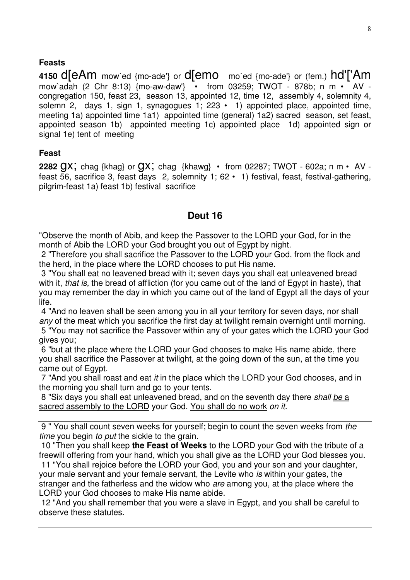#### **Feasts**

**4150** d[eAm mow`ed {mo-ade'} or d[emo mo`ed {mo-ade'} or (fem.) hd'['Am mow`adah (2 Chr 8:13) {mo-aw-daw'} • from 03259; TWOT - 878b; n m • AV congregation 150, feast 23, season 13, appointed 12, time 12, assembly 4, solemnity 4, solemn 2, days 1, sign 1, synagogues 1;  $223 \cdot 1$  appointed place, appointed time, meeting 1a) appointed time 1a1) appointed time (general) 1a2) sacred season, set feast, appointed season 1b) appointed meeting 1c) appointed place 1d) appointed sign or signal 1e) tent of meeting

#### **Feast**

**2282**  $QX$ **;** chag {khag} or  $QX$ ; chag {khawg} • from 02287; TWOT - 602a; n m • AV feast 56, sacrifice 3, feast days 2, solemnity 1; 62 • 1) festival, feast, festival-gathering, pilgrim-feast 1a) feast 1b) festival sacrifice

# **Deut 16**

"Observe the month of Abib, and keep the Passover to the LORD your God, for in the month of Abib the LORD your God brought you out of Egypt by night.

 2 "Therefore you shall sacrifice the Passover to the LORD your God, from the flock and the herd, in the place where the LORD chooses to put His name.

 3 "You shall eat no leavened bread with it; seven days you shall eat unleavened bread with it, *that is*, the bread of affliction (for you came out of the land of Egypt in haste), that you may remember the day in which you came out of the land of Egypt all the days of your life.

 4 "And no leaven shall be seen among you in all your territory for seven days, nor shall any of the meat which you sacrifice the first day at twilight remain overnight until morning. 5 "You may not sacrifice the Passover within any of your gates which the LORD your God

gives you; 6 "but at the place where the LORD your God chooses to make His name abide, there you shall sacrifice the Passover at twilight, at the going down of the sun, at the time you came out of Egypt.

 7 "And you shall roast and eat it in the place which the LORD your God chooses, and in the morning you shall turn and go to your tents.

8 "Six days you shall eat unleavened bread, and on the seventh day there shall be a sacred assembly to the LORD your God. You shall do no work on it.

 9 " You shall count seven weeks for yourself; begin to count the seven weeks from the time you begin to put the sickle to the grain.

 10 "Then you shall keep **the Feast of Weeks** to the LORD your God with the tribute of a freewill offering from your hand, which you shall give as the LORD your God blesses you.

 11 "You shall rejoice before the LORD your God, you and your son and your daughter, your male servant and your female servant, the Levite who is within your gates, the stranger and the fatherless and the widow who are among you, at the place where the LORD your God chooses to make His name abide.

 12 "And you shall remember that you were a slave in Egypt, and you shall be careful to observe these statutes.